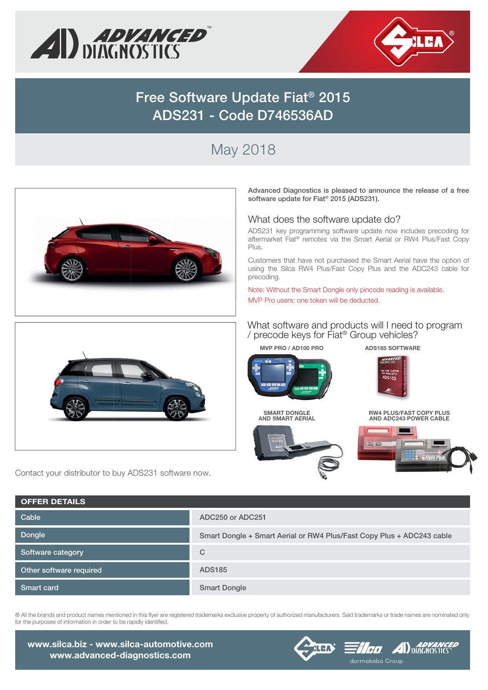



## **Free Software Update Fiat® 2015 ADS231 - Code D746536AD**

# May 2018



**Advanced Diagnostics is pleased to announce the release of a free software update for Fiat® 2015 (ADS231).**

#### What does the software update do?

ADS231 key programming software update now includes precoding for aftermarket Fiat® remotes via the Smart Aerial or RW4 Plus/Fast Copy Plus.

Customers that have not purchased the Smart Aerial have the option of using the Silca RW4 Plus/Fast Copy Plus and the ADC243 cable for precoding.

Note: Without the Smart Dongle only pincode reading is available. MVP Pro users: one token will be deducted.



Contact your distributor to buy ADS231 software now.

**OFFER DETAILS**

#### What software and products will I need to program / precode keys for Fiat® Group vehicles?

**MVP PRO / AD100 PRO**



**SMART DONGLE AND SMART AERIAL SM**



**ADS185 SOFTWARE**



**RW4 PLUS/FAST COPY PLUS AND ADC243 POWER CABLE**



| VEFEN DE IAILJ          |                                                                       |
|-------------------------|-----------------------------------------------------------------------|
| Cable                   | ADC250 or ADC251                                                      |
| Dongle                  | Smart Dongle + Smart Aerial or RW4 Plus/Fast Copy Plus + ADC243 cable |
| Software category       | $\mathcal{C}$                                                         |
| Other software required | <b>ADS185</b>                                                         |
| <b>Smart card</b>       | <b>Smart Dongle</b>                                                   |
|                         |                                                                       |

® All the brands and product names mentioned in this flyer are registered trademarks exclusive property of authorized manufacturers. Said trademarks or trade names are nominated only for the purposes of information in order to be rapidly identified.

**www.silca.biz - www.silca-automotive.com www.advanced-diagnostics.com**